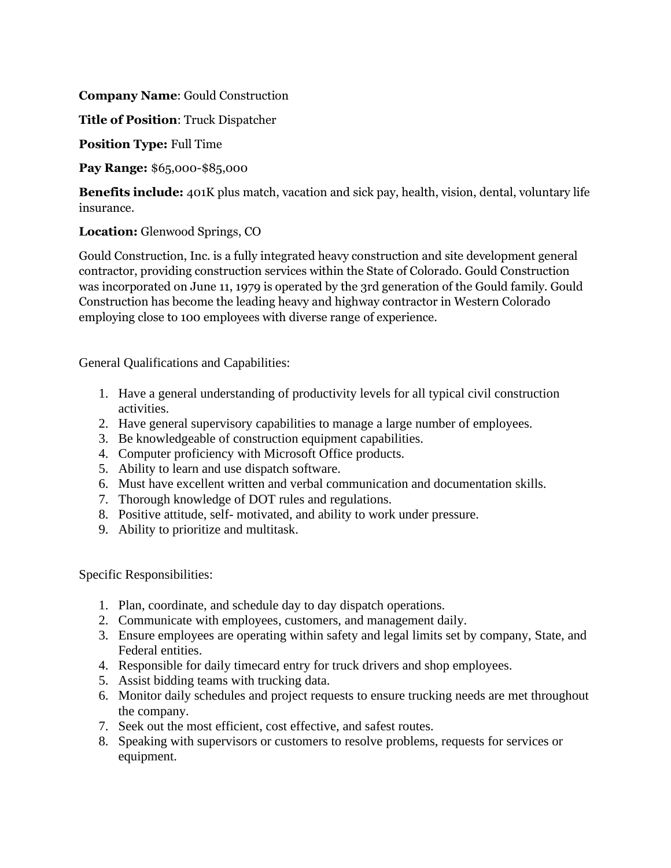**Company Name**: Gould Construction

**Title of Position**: Truck Dispatcher

**Position Type:** Full Time

**Pay Range:** \$65,000-\$85,000

**Benefits include:** 401K plus match, vacation and sick pay, health, vision, dental, voluntary life insurance.

## **Location:** Glenwood Springs, CO

Gould Construction, Inc. is a fully integrated heavy construction and site development general contractor, providing construction services within the State of Colorado. Gould Construction was incorporated on June 11, 1979 is operated by the 3rd generation of the Gould family. Gould Construction has become the leading heavy and highway contractor in Western Colorado employing close to 100 employees with diverse range of experience.

General Qualifications and Capabilities:

- 1. Have a general understanding of productivity levels for all typical civil construction activities.
- 2. Have general supervisory capabilities to manage a large number of employees.
- 3. Be knowledgeable of construction equipment capabilities.
- 4. Computer proficiency with Microsoft Office products.
- 5. Ability to learn and use dispatch software.
- 6. Must have excellent written and verbal communication and documentation skills.
- 7. Thorough knowledge of DOT rules and regulations.
- 8. Positive attitude, self- motivated, and ability to work under pressure.
- 9. Ability to prioritize and multitask.

Specific Responsibilities:

- 1. Plan, coordinate, and schedule day to day dispatch operations.
- 2. Communicate with employees, customers, and management daily.
- 3. Ensure employees are operating within safety and legal limits set by company, State, and Federal entities.
- 4. Responsible for daily timecard entry for truck drivers and shop employees.
- 5. Assist bidding teams with trucking data.
- 6. Monitor daily schedules and project requests to ensure trucking needs are met throughout the company.
- 7. Seek out the most efficient, cost effective, and safest routes.
- 8. Speaking with supervisors or customers to resolve problems, requests for services or equipment.